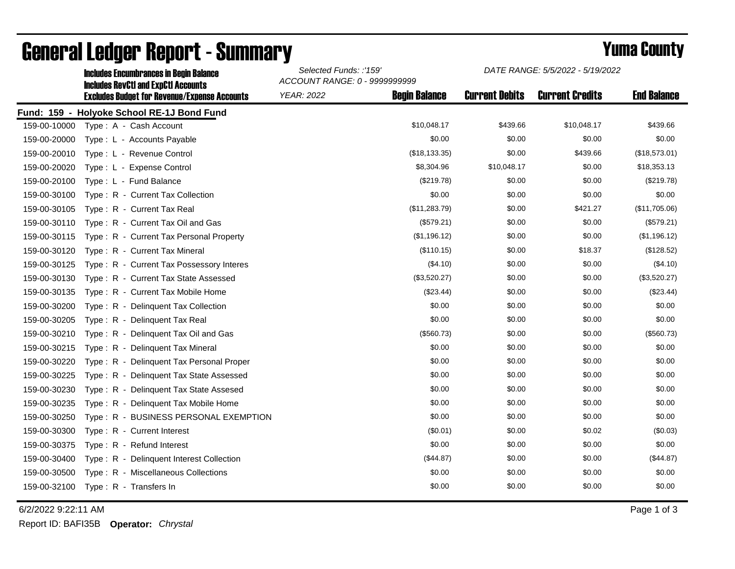|              | <b>Includes Encumbrances in Begin Balance</b>                                                     | Selected Funds: :'159'<br>ACCOUNT RANGE: 0 - 9999999999 |                      | DATE RANGE: 5/5/2022 - 5/19/2022 |                        |                    |
|--------------|---------------------------------------------------------------------------------------------------|---------------------------------------------------------|----------------------|----------------------------------|------------------------|--------------------|
|              | <b>Includes RevCtI and ExpCtI Accounts</b><br><b>Excludes Budget for Revenue/Expense Accounts</b> | YEAR: 2022                                              | <b>Begin Balance</b> | <b>Current Debits</b>            | <b>Current Credits</b> | <b>End Balance</b> |
|              | Fund: 159 - Holyoke School RE-1J Bond Fund                                                        |                                                         |                      |                                  |                        |                    |
| 159-00-10000 | Type: A - Cash Account                                                                            |                                                         | \$10,048.17          | \$439.66                         | \$10,048.17            | \$439.66           |
| 159-00-20000 | Type: L - Accounts Payable                                                                        |                                                         | \$0.00               | \$0.00                           | \$0.00                 | \$0.00             |
| 159-00-20010 | Type: L - Revenue Control                                                                         |                                                         | (\$18,133.35)        | \$0.00                           | \$439.66               | (\$18,573.01)      |
| 159-00-20020 | Type: L - Expense Control                                                                         |                                                         | \$8,304.96           | \$10,048.17                      | \$0.00                 | \$18,353.13        |
| 159-00-20100 | Type: L - Fund Balance                                                                            |                                                         | (\$219.78)           | \$0.00                           | \$0.00                 | (\$219.78)         |
| 159-00-30100 | Type: R - Current Tax Collection                                                                  |                                                         | \$0.00               | \$0.00                           | \$0.00                 | \$0.00             |
| 159-00-30105 | Type: R - Current Tax Real                                                                        |                                                         | (\$11,283.79)        | \$0.00                           | \$421.27               | (\$11,705.06)      |
| 159-00-30110 | Type: R - Current Tax Oil and Gas                                                                 |                                                         | (\$579.21)           | \$0.00                           | \$0.00                 | (\$579.21)         |
| 159-00-30115 | Type: R - Current Tax Personal Property                                                           |                                                         | (\$1,196.12)         | \$0.00                           | \$0.00                 | (\$1,196.12)       |
| 159-00-30120 | Type: R - Current Tax Mineral                                                                     |                                                         | (\$110.15)           | \$0.00                           | \$18.37                | (\$128.52)         |
| 159-00-30125 | Type: R - Current Tax Possessory Interes                                                          |                                                         | (\$4.10)             | \$0.00                           | \$0.00                 | (\$4.10)           |
| 159-00-30130 | Type: R - Current Tax State Assessed                                                              |                                                         | (\$3,520.27)         | \$0.00                           | \$0.00                 | (\$3,520.27)       |
| 159-00-30135 | Type: R - Current Tax Mobile Home                                                                 |                                                         | (\$23.44)            | \$0.00                           | \$0.00                 | (\$23.44)          |
| 159-00-30200 | Type: R - Delinquent Tax Collection                                                               |                                                         | \$0.00               | \$0.00                           | \$0.00                 | \$0.00             |
| 159-00-30205 | Type: R - Delinquent Tax Real                                                                     |                                                         | \$0.00               | \$0.00                           | \$0.00                 | \$0.00             |
| 159-00-30210 | Type: R - Delinquent Tax Oil and Gas                                                              |                                                         | (\$560.73)           | \$0.00                           | \$0.00                 | (\$560.73)         |
| 159-00-30215 | Type: R - Delinquent Tax Mineral                                                                  |                                                         | \$0.00               | \$0.00                           | \$0.00                 | \$0.00             |
| 159-00-30220 | Type: R - Delinguent Tax Personal Proper                                                          |                                                         | \$0.00               | \$0.00                           | \$0.00                 | \$0.00             |
| 159-00-30225 | Type: R - Delinguent Tax State Assessed                                                           |                                                         | \$0.00               | \$0.00                           | \$0.00                 | \$0.00             |
| 159-00-30230 | $T$ vpe: $R -$<br>Delinquent Tax State Assesed                                                    |                                                         | \$0.00               | \$0.00                           | \$0.00                 | \$0.00             |
| 159-00-30235 | Type: R - Delinquent Tax Mobile Home                                                              |                                                         | \$0.00               | \$0.00                           | \$0.00                 | \$0.00             |
| 159-00-30250 | Type: R - BUSINESS PERSONAL EXEMPTION                                                             |                                                         | \$0.00               | \$0.00                           | \$0.00                 | \$0.00             |
| 159-00-30300 | Type: R - Current Interest                                                                        |                                                         | (\$0.01)             | \$0.00                           | \$0.02                 | (\$0.03)           |
| 159-00-30375 | Type: R - Refund Interest                                                                         |                                                         | \$0.00               | \$0.00                           | \$0.00                 | \$0.00             |
| 159-00-30400 | Type: R - Delinguent Interest Collection                                                          |                                                         | (\$44.87)            | \$0.00                           | \$0.00                 | (\$44.87)          |
| 159-00-30500 | Type: R - Miscellaneous Collections                                                               |                                                         | \$0.00               | \$0.00                           | \$0.00                 | \$0.00             |
| 159-00-32100 | $Type: R - Transfers In$                                                                          |                                                         | \$0.00               | \$0.00                           | \$0.00                 | \$0.00             |

## General Ledger Report - Summary **Selected Europe 2008 County** Yuma County

6/2/2022 9:22:11 AM Page 1 of 3

*DATE RANGE: 5/5/2022 - 5/19/2022*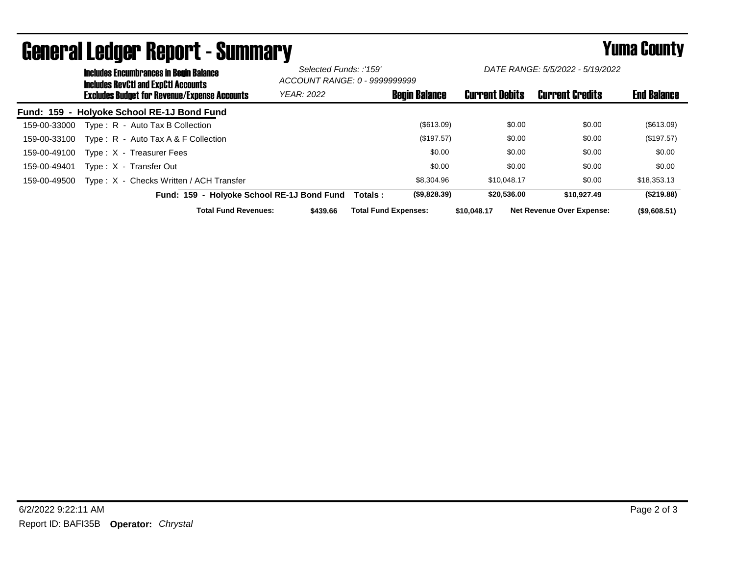|              | <b>Includes Encumbrances in Begin Balance</b><br><b>Includes RevCtI and ExpCtI Accounts</b><br><b>Excludes Budget for Revenue/Expense Accounts</b> |                                            |                                            | Selected Funds: :'159'<br>ACCOUNT RANGE: 0 - 9999999999 |                             | DATE RANGE: 5/5/2022 - 5/19/2022 |                       |        |                                  |                    |
|--------------|----------------------------------------------------------------------------------------------------------------------------------------------------|--------------------------------------------|--------------------------------------------|---------------------------------------------------------|-----------------------------|----------------------------------|-----------------------|--------|----------------------------------|--------------------|
|              |                                                                                                                                                    |                                            |                                            | <b>YEAR: 2022</b>                                       |                             | <b>Begin Balance</b>             | <b>Current Debits</b> |        | <b>Current Credits</b>           | <b>End Balance</b> |
|              |                                                                                                                                                    | Fund: 159 - Holyoke School RE-1J Bond Fund |                                            |                                                         |                             |                                  |                       |        |                                  |                    |
| 159-00-33000 |                                                                                                                                                    | Type: R - Auto Tax B Collection            |                                            |                                                         |                             | $($ \$613.09)                    |                       | \$0.00 | \$0.00                           | (\$613.09)         |
| 159-00-33100 |                                                                                                                                                    | Type: R - Auto Tax A & F Collection        |                                            |                                                         |                             | (\$197.57)                       |                       | \$0.00 | \$0.00                           | (\$197.57)         |
| 159-00-49100 |                                                                                                                                                    | Type: X - Treasurer Fees                   |                                            |                                                         |                             | \$0.00                           |                       | \$0.00 | \$0.00                           | \$0.00             |
| 159-00-49401 |                                                                                                                                                    | Type: X - Transfer Out                     |                                            |                                                         |                             | \$0.00                           |                       | \$0.00 | \$0.00                           | \$0.00             |
| 159-00-49500 |                                                                                                                                                    | Type: X - Checks Written / ACH Transfer    |                                            |                                                         |                             | \$8,304.96                       | \$10.048.17           |        | \$0.00                           | \$18,353.13        |
|              |                                                                                                                                                    |                                            | Fund: 159 - Holyoke School RE-1J Bond Fund |                                                         | Totals :                    | (\$9,828.39)                     | \$20,536.00           |        | \$10.927.49                      | (\$219.88)         |
|              |                                                                                                                                                    |                                            | <b>Total Fund Revenues:</b>                | \$439.66                                                | <b>Total Fund Expenses:</b> |                                  | \$10,048.17           |        | <b>Net Revenue Over Expense:</b> | $($ \$9,608.51)    |

## General Ledger Report - Summary **Example 2018** Yuma County